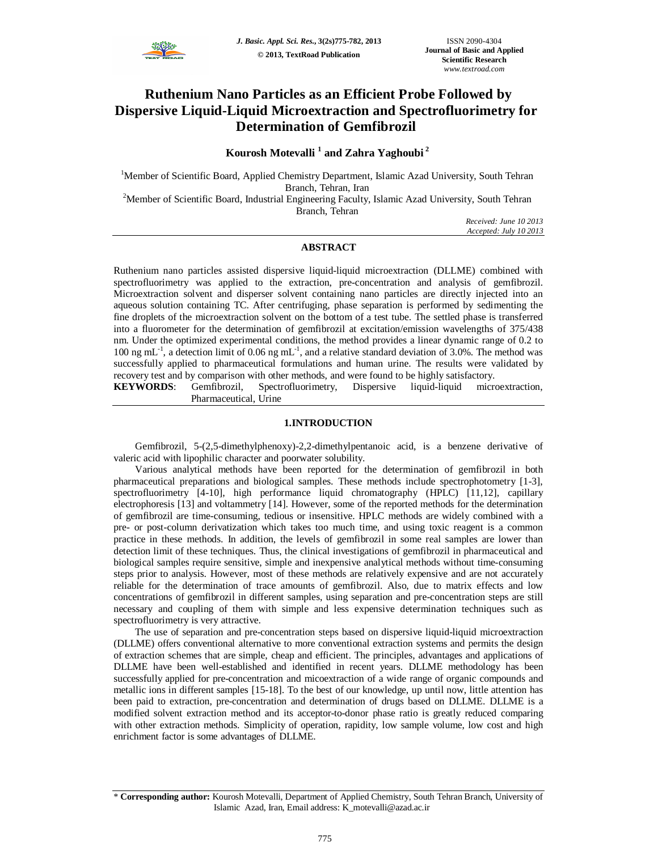

# **Ruthenium Nano Particles as an Efficient Probe Followed by Dispersive Liquid-Liquid Microextraction and Spectrofluorimetry for Determination of Gemfibrozil**

## **Kourosh Motevalli <sup>1</sup> and Zahra Yaghoubi <sup>2</sup>**

<sup>1</sup>Member of Scientific Board, Applied Chemistry Department, Islamic Azad University, South Tehran Branch, Tehran, Iran

<sup>2</sup>Member of Scientific Board, Industrial Engineering Faculty, Islamic Azad University, South Tehran Branch, Tehran

*Received: June 10 2013 Accepted: July 10 2013*

## **ABSTRACT**

Ruthenium nano particles assisted dispersive liquid-liquid microextraction (DLLME) combined with spectrofluorimetry was applied to the extraction, pre-concentration and analysis of gemfibrozil. Microextraction solvent and disperser solvent containing nano particles are directly injected into an aqueous solution containing TC. After centrifuging, phase separation is performed by sedimenting the fine droplets of the microextraction solvent on the bottom of a test tube. The settled phase is transferred into a fluorometer for the determination of gemfibrozil at excitation/emission wavelengths of 375/438 nm. Under the optimized experimental conditions, the method provides a linear dynamic range of 0.2 to 100 ng mL<sup>-1</sup>, a detection limit of 0.06 ng mL<sup>-1</sup>, and a relative standard deviation of 3.0%. The method was successfully applied to pharmaceutical formulations and human urine. The results were validated by recovery test and by comparison with other methods, and were found to be highly satisfactory.<br> **KEYWORDS:** Gemfibrozil. Spectrofluorimetry. Dispersive liquid-liquid microsoft.

Gemfibrozil, Spectrofluorimetry, Dispersive liquid-liquid microextraction, Pharmaceutical, Urine

## **1.INTRODUCTION**

Gemfibrozil, 5-(2,5-dimethylphenoxy)-2,2-dimethylpentanoic acid, is a benzene derivative of valeric acid with lipophilic character and poorwater solubility.

Various analytical methods have been reported for the determination of gemfibrozil in both pharmaceutical preparations and biological samples. These methods include spectrophotometry [1-3], spectrofluorimetry [4-10], high performance liquid chromatography (HPLC) [11,12], capillary electrophoresis [13] and voltammetry [14]. However, some of the reported methods for the determination of gemfibrozil are time-consuming, tedious or insensitive. HPLC methods are widely combined with a pre- or post-column derivatization which takes too much time, and using toxic reagent is a common practice in these methods. In addition, the levels of gemfibrozil in some real samples are lower than detection limit of these techniques. Thus, the clinical investigations of gemfibrozil in pharmaceutical and biological samples require sensitive, simple and inexpensive analytical methods without time-consuming steps prior to analysis. However, most of these methods are relatively expensive and are not accurately reliable for the determination of trace amounts of gemfibrozil. Also, due to matrix effects and low concentrations of gemfibrozil in different samples, using separation and pre-concentration steps are still necessary and coupling of them with simple and less expensive determination techniques such as spectrofluorimetry is very attractive.

The use of separation and pre-concentration steps based on dispersive liquid-liquid microextraction (DLLME) offers conventional alternative to more conventional extraction systems and permits the design of extraction schemes that are simple, cheap and efficient. The principles, advantages and applications of DLLME have been well-established and identified in recent years. DLLME methodology has been successfully applied for pre-concentration and micoextraction of a wide range of organic compounds and metallic ions in different samples [15-18]. To the best of our knowledge, up until now, little attention has been paid to extraction, pre-concentration and determination of drugs based on DLLME. DLLME is a modified solvent extraction method and its acceptor-to-donor phase ratio is greatly reduced comparing with other extraction methods. Simplicity of operation, rapidity, low sample volume, low cost and high enrichment factor is some advantages of DLLME.

<sup>\*</sup> **Corresponding author:** Kourosh Motevalli, Department of Applied Chemistry, South Tehran Branch, University of Islamic Azad, Iran, Email address: K\_motevalli@azad.ac.ir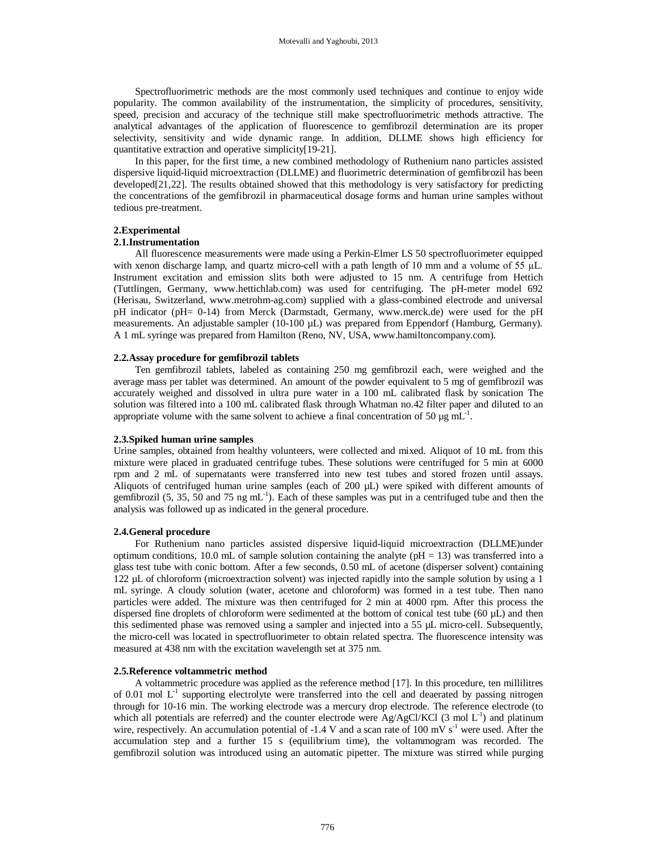Spectrofluorimetric methods are the most commonly used techniques and continue to enjoy wide popularity. The common availability of the instrumentation, the simplicity of procedures, sensitivity, speed, precision and accuracy of the technique still make spectrofluorimetric methods attractive. The analytical advantages of the application of fluorescence to gemfibrozil determination are its proper selectivity, sensitivity and wide dynamic range. In addition, DLLME shows high efficiency for quantitative extraction and operative simplicity[19-21].

In this paper, for the first time, a new combined methodology of Ruthenium nano particles assisted dispersive liquid-liquid microextraction (DLLME) and fluorimetric determination of gemfibrozil has been developed[21,22]. The results obtained showed that this methodology is very satisfactory for predicting the concentrations of the gemfibrozil in pharmaceutical dosage forms and human urine samples without tedious pre-treatment.

## **2.Experimental**

## **2.1.Instrumentation**

All fluorescence measurements were made using a Perkin-Elmer LS 50 spectrofluorimeter equipped with xenon discharge lamp, and quartz micro-cell with a path length of 10 mm and a volume of  $55 \mu L$ . Instrument excitation and emission slits both were adjusted to 15 nm. A centrifuge from Hettich (Tuttlingen, Germany, www.hettichlab.com) was used for centrifuging. The pH-meter model 692 (Herisau, Switzerland, www.metrohm-ag.com) supplied with a glass-combined electrode and universal pH indicator (pH= 0-14) from Merck (Darmstadt, Germany, www.merck.de) were used for the pH measurements. An adjustable sampler (10-100 µL) was prepared from Eppendorf (Hamburg, Germany). A 1 mL syringe was prepared from Hamilton (Reno, NV, USA, www.hamiltoncompany.com).

## **2.2.Assay procedure for gemfibrozil tablets**

Ten gemfibrozil tablets, labeled as containing 250 mg gemfibrozil each, were weighed and the average mass per tablet was determined. An amount of the powder equivalent to 5 mg of gemfibrozil was accurately weighed and dissolved in ultra pure water in a 100 mL calibrated flask by sonication The solution was filtered into a 100 mL calibrated flask through Whatman no.42 filter paper and diluted to an appropriate volume with the same solvent to achieve a final concentration of 50  $\mu$ g mL<sup>-1</sup>.

### **2.3.Spiked human urine samples**

Urine samples, obtained from healthy volunteers, were collected and mixed. Aliquot of 10 mL from this mixture were placed in graduated centrifuge tubes. These solutions were centrifuged for 5 min at 6000 rpm and 2 mL of supernatants were transferred into new test tubes and stored frozen until assays. Aliquots of centrifuged human urine samples (each of  $200 \mu L$ ) were spiked with different amounts of gemfibrozil (5, 35, 50 and 75 ng mL<sup>-1</sup>). Each of these samples was put in a centrifuged tube and then the analysis was followed up as indicated in the general procedure.

## **2.4.General procedure**

For Ruthenium nano particles assisted dispersive liquid-liquid microextraction (DLLME)under optimum conditions, 10.0 mL of sample solution containing the analyte ( $pH = 13$ ) was transferred into a glass test tube with conic bottom. After a few seconds, 0.50 mL of acetone (disperser solvent) containing 122 µL of chloroform (microextraction solvent) was injected rapidly into the sample solution by using a  $\overline{1}$ mL syringe. A cloudy solution (water, acetone and chloroform) was formed in a test tube. Then nano particles were added. The mixture was then centrifuged for 2 min at 4000 rpm. After this process the dispersed fine droplets of chloroform were sedimented at the bottom of conical test tube (60  $\mu$ L) and then this sedimented phase was removed using a sampler and injected into a 55 µL micro-cell. Subsequently, the micro-cell was located in spectrofluorimeter to obtain related spectra. The fluorescence intensity was measured at 438 nm with the excitation wavelength set at 375 nm.

## **2.5.Reference voltammetric method**

A voltammetric procedure was applied as the reference method [17]. In this procedure, ten millilitres of 0.01 mol L<sup>-1</sup> supporting electrolyte were transferred into the cell and deaerated by passing nitrogen through for 10-16 min. The working electrode was a mercury drop electrode. The reference electrode (to which all potentials are referred) and the counter electrode were  $Ag/AgCl/KCl$  (3 mol  $L^{-1}$ ) and platinum wire, respectively. An accumulation potential of -1.4 V and a scan rate of 100 mV  $s^{-1}$  were used. After the accumulation step and a further 15 s (equilibrium time), the voltammogram was recorded. The gemfibrozil solution was introduced using an automatic pipetter. The mixture was stirred while purging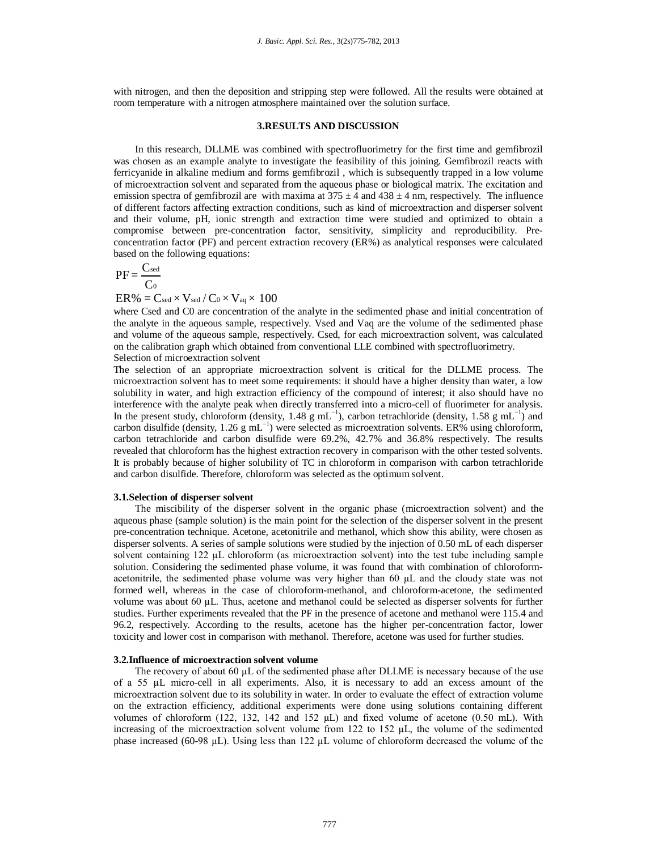with nitrogen, and then the deposition and stripping step were followed. All the results were obtained at room temperature with a nitrogen atmosphere maintained over the solution surface.

## **3.RESULTS AND DISCUSSION**

In this research, DLLME was combined with spectrofluorimetry for the first time and gemfibrozil was chosen as an example analyte to investigate the feasibility of this joining. Gemfibrozil reacts with ferricyanide in alkaline medium and forms gemfibrozil , which is subsequently trapped in a low volume of microextraction solvent and separated from the aqueous phase or biological matrix. The excitation and emission spectra of gemfibrozil are with maxima at  $375 \pm 4$  and  $438 \pm 4$  nm, respectively. The influence of different factors affecting extraction conditions, such as kind of microextraction and disperser solvent and their volume, pH, ionic strength and extraction time were studied and optimized to obtain a compromise between pre-concentration factor, sensitivity, simplicity and reproducibility. Preconcentration factor (PF) and percent extraction recovery (ER%) as analytical responses were calculated based on the following equations:

$$
PF = \frac{C_{\text{sed}}}{C_0}
$$

 $ER\% = C_{sed} \times V_{sed} / C_0 \times V_{aq} \times 100$ 

where Csed and C0 are concentration of the analyte in the sedimented phase and initial concentration of the analyte in the aqueous sample, respectively. Vsed and Vaq are the volume of the sedimented phase and volume of the aqueous sample, respectively. Csed, for each microextraction solvent, was calculated on the calibration graph which obtained from conventional LLE combined with spectrofluorimetry. Selection of microextraction solvent

The selection of an appropriate microextraction solvent is critical for the DLLME process. The microextraction solvent has to meet some requirements: it should have a higher density than water, a low solubility in water, and high extraction efficiency of the compound of interest; it also should have no interference with the analyte peak when directly transferred into a micro-cell of fluorimeter for analysis. In the present study, chloroform (density, 1.48 g mL<sup>-1</sup>), carbon tetrachloride (density, 1.58 g mL<sup>-1</sup>) and carbon disulfide (density, 1.26 g mL<sup>-1</sup>) were selected as microextration solvents. ER% using chloroform, carbon tetrachloride and carbon disulfide were 69.2%, 42.7% and 36.8% respectively. The results revealed that chloroform has the highest extraction recovery in comparison with the other tested solvents. It is probably because of higher solubility of TC in chloroform in comparison with carbon tetrachloride and carbon disulfide. Therefore, chloroform was selected as the optimum solvent.

## **3.1.Selection of disperser solvent**

The miscibility of the disperser solvent in the organic phase (microextraction solvent) and the aqueous phase (sample solution) is the main point for the selection of the disperser solvent in the present pre-concentration technique. Acetone, acetonitrile and methanol, which show this ability, were chosen as disperser solvents. A series of sample solutions were studied by the injection of 0.50 mL of each disperser solvent containing 122 µL chloroform (as microextraction solvent) into the test tube including sample solution. Considering the sedimented phase volume, it was found that with combination of chloroformacetonitrile, the sedimented phase volume was very higher than 60 µL and the cloudy state was not formed well, whereas in the case of chloroform-methanol, and chloroform-acetone, the sedimented volume was about 60 µL. Thus, acetone and methanol could be selected as disperser solvents for further studies. Further experiments revealed that the PF in the presence of acetone and methanol were 115.4 and 96.2, respectively. According to the results, acetone has the higher per-concentration factor, lower toxicity and lower cost in comparison with methanol. Therefore, acetone was used for further studies.

## **3.2.Influence of microextraction solvent volume**

The recovery of about 60 µL of the sedimented phase after DLLME is necessary because of the use of a 55 µL micro-cell in all experiments. Also, it is necessary to add an excess amount of the microextraction solvent due to its solubility in water. In order to evaluate the effect of extraction volume on the extraction efficiency, additional experiments were done using solutions containing different volumes of chloroform (122, 132, 142 and 152 µL) and fixed volume of acetone (0.50 mL). With increasing of the microextraction solvent volume from 122 to 152 µL, the volume of the sedimented phase increased (60-98 µL). Using less than 122 µL volume of chloroform decreased the volume of the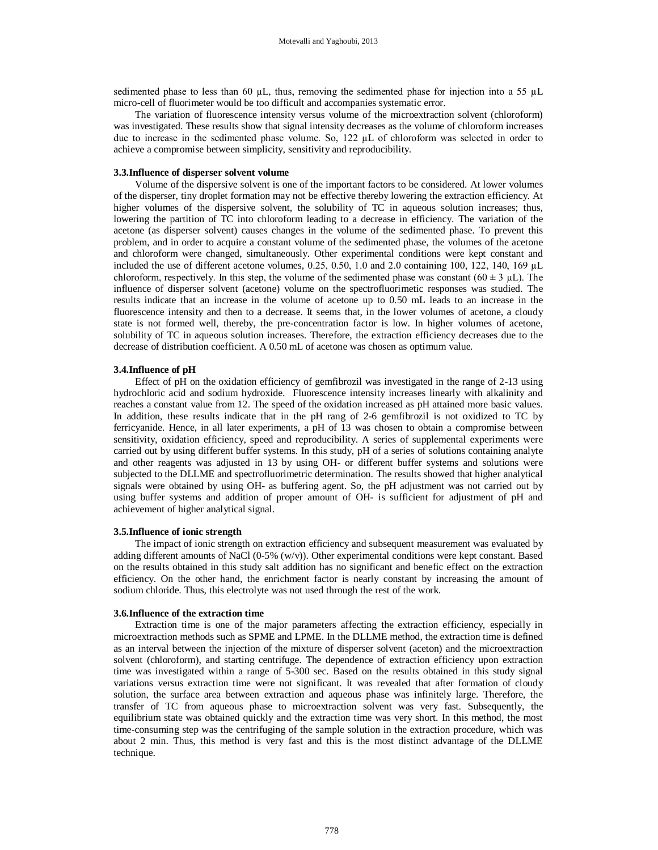sedimented phase to less than 60 µL, thus, removing the sedimented phase for injection into a 55 µL micro-cell of fluorimeter would be too difficult and accompanies systematic error.

The variation of fluorescence intensity versus volume of the microextraction solvent (chloroform) was investigated. These results show that signal intensity decreases as the volume of chloroform increases due to increase in the sedimented phase volume. So, 122 µL of chloroform was selected in order to achieve a compromise between simplicity, sensitivity and reproducibility.

## **3.3.Influence of disperser solvent volume**

Volume of the dispersive solvent is one of the important factors to be considered. At lower volumes of the disperser, tiny droplet formation may not be effective thereby lowering the extraction efficiency. At higher volumes of the dispersive solvent, the solubility of TC in aqueous solution increases; thus, lowering the partition of TC into chloroform leading to a decrease in efficiency. The variation of the acetone (as disperser solvent) causes changes in the volume of the sedimented phase. To prevent this problem, and in order to acquire a constant volume of the sedimented phase, the volumes of the acetone and chloroform were changed, simultaneously. Other experimental conditions were kept constant and included the use of different acetone volumes, 0.25, 0.50, 1.0 and 2.0 containing 100, 122, 140, 169 µL chloroform, respectively. In this step, the volume of the sedimented phase was constant  $(60 \pm 3 \mu L)$ . The influence of disperser solvent (acetone) volume on the spectrofluorimetic responses was studied. The results indicate that an increase in the volume of acetone up to 0.50 mL leads to an increase in the fluorescence intensity and then to a decrease. It seems that, in the lower volumes of acetone, a cloudy state is not formed well, thereby, the pre-concentration factor is low. In higher volumes of acetone, solubility of TC in aqueous solution increases. Therefore, the extraction efficiency decreases due to the decrease of distribution coefficient. A 0.50 mL of acetone was chosen as optimum value.

#### **3.4.Influence of pH**

Effect of pH on the oxidation efficiency of gemfibrozil was investigated in the range of 2-13 using hydrochloric acid and sodium hydroxide. Fluorescence intensity increases linearly with alkalinity and reaches a constant value from 12. The speed of the oxidation increased as pH attained more basic values. In addition, these results indicate that in the pH rang of 2-6 gemfibrozil is not oxidized to TC by ferricyanide. Hence, in all later experiments, a pH of 13 was chosen to obtain a compromise between sensitivity, oxidation efficiency, speed and reproducibility. A series of supplemental experiments were carried out by using different buffer systems. In this study, pH of a series of solutions containing analyte and other reagents was adjusted in 13 by using OH- or different buffer systems and solutions were subjected to the DLLME and spectrofluorimetric determination. The results showed that higher analytical signals were obtained by using OH- as buffering agent. So, the pH adjustment was not carried out by using buffer systems and addition of proper amount of OH- is sufficient for adjustment of pH and achievement of higher analytical signal.

## **3.5.Influence of ionic strength**

The impact of ionic strength on extraction efficiency and subsequent measurement was evaluated by adding different amounts of NaCl (0-5% (w/v)). Other experimental conditions were kept constant. Based on the results obtained in this study salt addition has no significant and benefic effect on the extraction efficiency. On the other hand, the enrichment factor is nearly constant by increasing the amount of sodium chloride. Thus, this electrolyte was not used through the rest of the work.

### **3.6.Influence of the extraction time**

Extraction time is one of the major parameters affecting the extraction efficiency, especially in microextraction methods such as SPME and LPME. In the DLLME method, the extraction time is defined as an interval between the injection of the mixture of disperser solvent (aceton) and the microextraction solvent (chloroform), and starting centrifuge. The dependence of extraction efficiency upon extraction time was investigated within a range of 5-300 sec. Based on the results obtained in this study signal variations versus extraction time were not significant. It was revealed that after formation of cloudy solution, the surface area between extraction and aqueous phase was infinitely large. Therefore, the transfer of TC from aqueous phase to microextraction solvent was very fast. Subsequently, the equilibrium state was obtained quickly and the extraction time was very short. In this method, the most time-consuming step was the centrifuging of the sample solution in the extraction procedure, which was about 2 min. Thus, this method is very fast and this is the most distinct advantage of the DLLME technique.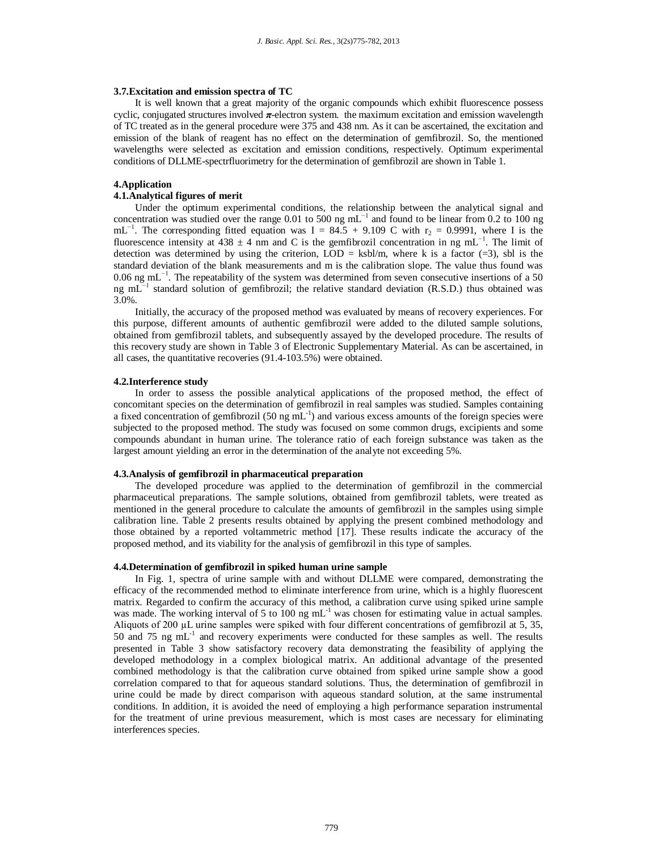#### **3.7.Excitation and emission spectra of TC**

It is well known that a great majority of the organic compounds which exhibit fluorescence possess cyclic, conjugated structures involved  $\pi$ -electron system. the maximum excitation and emission wavelength of TC treated as in the general procedure were 375 and 438 nm. As it can be ascertained, the excitation and emission of the blank of reagent has no effect on the determination of gemfibrozil. So, the mentioned wavelengths were selected as excitation and emission conditions, respectively. Optimum experimental conditions of DLLME-spectrfluorimetry for the determination of gemfibrozil are shown in Table 1.

## **4.Application**

## **4.1.Analytical figures of merit**

Under the optimum experimental conditions, the relationship between the analytical signal and concentration was studied over the range 0.01 to 500 ng mL<sup> $-1$ </sup> and found to be linear from 0.2 to 100 ng mL<sup>-1</sup>. The corresponding fitted equation was I = 84.5 + 9.109 C with  $r_2$  = 0.9991, where I is the fluorescence intensity at 438  $\pm$  4 nm and C is the gemfibrozil concentration in ng mL<sup>-1</sup>. The limit of detection was determined by using the criterion,  $LOD = ksb/m$ , where k is a factor (=3), sbl is the standard deviation of the blank measurements and m is the calibration slope. The value thus found was 0.06 ng mL<sup>-1</sup>. The repeatability of the system was determined from seven consecutive insertions of a 50 ng mL $^{-1}$  standard solution of gemfibrozil; the relative standard deviation (R.S.D.) thus obtained was 3.0%.

Initially, the accuracy of the proposed method was evaluated by means of recovery experiences. For this purpose, different amounts of authentic gemfibrozil were added to the diluted sample solutions, obtained from gemfibrozil tablets, and subsequently assayed by the developed procedure. The results of this recovery study are shown in Table 3 of Electronic Supplementary Material. As can be ascertained, in all cases, the quantitative recoveries (91.4-103.5%) were obtained.

#### **4.2.Interference study**

In order to assess the possible analytical applications of the proposed method, the effect of concomitant species on the determination of gemfibrozil in real samples was studied. Samples containing a fixed concentration of gemfibrozil (50 ng  $mL^{-1}$ ) and various excess amounts of the foreign species were subjected to the proposed method. The study was focused on some common drugs, excipients and some compounds abundant in human urine. The tolerance ratio of each foreign substance was taken as the largest amount yielding an error in the determination of the analyte not exceeding 5%.

#### **4.3.Analysis of gemfibrozil in pharmaceutical preparation**

The developed procedure was applied to the determination of gemfibrozil in the commercial pharmaceutical preparations. The sample solutions, obtained from gemfibrozil tablets, were treated as mentioned in the general procedure to calculate the amounts of gemfibrozil in the samples using simple calibration line. Table 2 presents results obtained by applying the present combined methodology and those obtained by a reported voltammetric method [17]. These results indicate the accuracy of the proposed method, and its viability for the analysis of gemfibrozil in this type of samples.

## **4.4.Determination of gemfibrozil in spiked human urine sample**

In Fig. 1, spectra of urine sample with and without DLLME were compared, demonstrating the efficacy of the recommended method to eliminate interference from urine, which is a highly fluorescent matrix. Regarded to confirm the accuracy of this method, a calibration curve using spiked urine sample was made. The working interval of 5 to 100 ng mL<sup>-1</sup> was chosen for estimating value in actual samples. Aliquots of 200 µL urine samples were spiked with four different concentrations of gemfibrozil at 5, 35, 50 and 75 ng mL<sup>-1</sup> and recovery experiments were conducted for these samples as well. The results presented in Table 3 show satisfactory recovery data demonstrating the feasibility of applying the developed methodology in a complex biological matrix. An additional advantage of the presented combined methodology is that the calibration curve obtained from spiked urine sample show a good correlation compared to that for aqueous standard solutions. Thus, the determination of gemfibrozil in urine could be made by direct comparison with aqueous standard solution, at the same instrumental conditions. In addition, it is avoided the need of employing a high performance separation instrumental for the treatment of urine previous measurement, which is most cases are necessary for eliminating interferences species.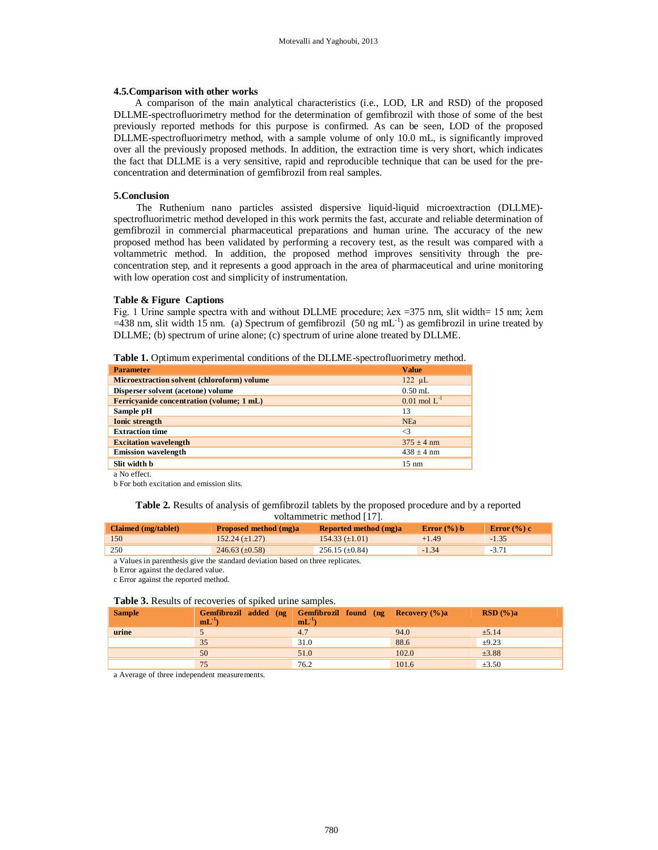#### **4.5.Comparison with other works**

A comparison of the main analytical characteristics (i.e., LOD, LR and RSD) of the proposed DLLME-spectrofluorimetry method for the determination of gemfibrozil with those of some of the best previously reported methods for this purpose is confirmed. As can be seen, LOD of the proposed DLLME-spectrofluorimetry method, with a sample volume of only 10.0 mL, is significantly improved over all the previously proposed methods. In addition, the extraction time is very short, which indicates the fact that DLLME is a very sensitive, rapid and reproducible technique that can be used for the preconcentration and determination of gemfibrozil from real samples.

#### **5.Conclusion**

The Ruthenium nano particles assisted dispersive liquid-liquid microextraction (DLLME) spectrofluorimetric method developed in this work permits the fast, accurate and reliable determination of gemfibrozil in commercial pharmaceutical preparations and human urine. The accuracy of the new proposed method has been validated by performing a recovery test, as the result was compared with a voltammetric method. In addition, the proposed method improves sensitivity through the preconcentration step, and it represents a good approach in the area of pharmaceutical and urine monitoring with low operation cost and simplicity of instrumentation.

#### **Table & Figure Captions**

Fig. 1 Urine sample spectra with and without DLLME procedure; λex =375 nm, slit width= 15 nm; λem  $=438$  nm, slit width 15 nm. (a) Spectrum of gemfibrozil (50 ng mL<sup>-1</sup>) as gemfibrozil in urine treated by DLLME; (b) spectrum of urine alone; (c) spectrum of urine alone treated by DLLME.

**Table 1.** Optimum experimental conditions of the DLLME-spectrofluorimetry method.

| <b>Parameter</b>                                   | <b>Value</b>        |
|----------------------------------------------------|---------------------|
| <b>Microextraction solvent (chloroform) volume</b> | $122 \mu L$         |
| Disperser solvent (acetone) volume                 | $0.50$ mL           |
| <b>Ferricyanide concentration (volume; 1 mL)</b>   | $0.01$ mol $L^{-1}$ |
| Sample pH                                          | 13                  |
| <b>Ionic strength</b>                              | <b>NEa</b>          |
| <b>Extraction time</b>                             | $\leq$ 3            |
| <b>Excitation wavelength</b>                       | $375 + 4$ nm        |
| <b>Emission</b> wavelength                         | $438 \pm 4$ nm      |
| Slit width b                                       | $15 \text{ nm}$     |
| $\mathbf{r}$ or $\mathbf{r}$                       |                     |

a No effect.

b For both excitation and emission slits.

**Table 2.** Results of analysis of gemfibrozil tablets by the proposed procedure and by a reported voltammetric method [17].

| <b>Claimed</b> (mg/tablet)                                                                                       | Proposed method (mg)a | Reported method (mg)a | Error $(\%)$ b | Error $(\% )$ c |  |  |
|------------------------------------------------------------------------------------------------------------------|-----------------------|-----------------------|----------------|-----------------|--|--|
| 150                                                                                                              | $152.24 \ (\pm 1.27)$ | $154.33 \ (\pm 1.01)$ | $+1.49$        | $-1.35$         |  |  |
| 250                                                                                                              | $246.63 \ (\pm 0.58)$ | $256.15 \ (\pm 0.84)$ | $-1.34$        | $-3.71$         |  |  |
| $\sim$ 3.7 and the compact of the state of the second contract of the state of the second contract of the second |                       |                       |                |                 |  |  |

a Values in parenthesis give the standard deviation based on three replicates.

b Error against the declared value.

c Error against the reported method.

## **Table 3.** Results of recoveries of spiked urine samples.

| <b>Sample</b> | $mL^{-1}$ | Gemfibrozil added (ng   Gemfibrozil found (ng   Recovery (%)a<br>$mL^{-1}$ |       | RSD(%)a    |
|---------------|-----------|----------------------------------------------------------------------------|-------|------------|
| urine         |           | 4.7                                                                        | 94.0  | ±5.14      |
|               | 35        | 31.0                                                                       | 88.6  | $\pm 9.23$ |
|               | 50        | 51.0                                                                       | 102.0 | $\pm 3.88$ |
|               |           | 76.2                                                                       | 101.6 | $\pm 3.50$ |

a Average of three independent measurements.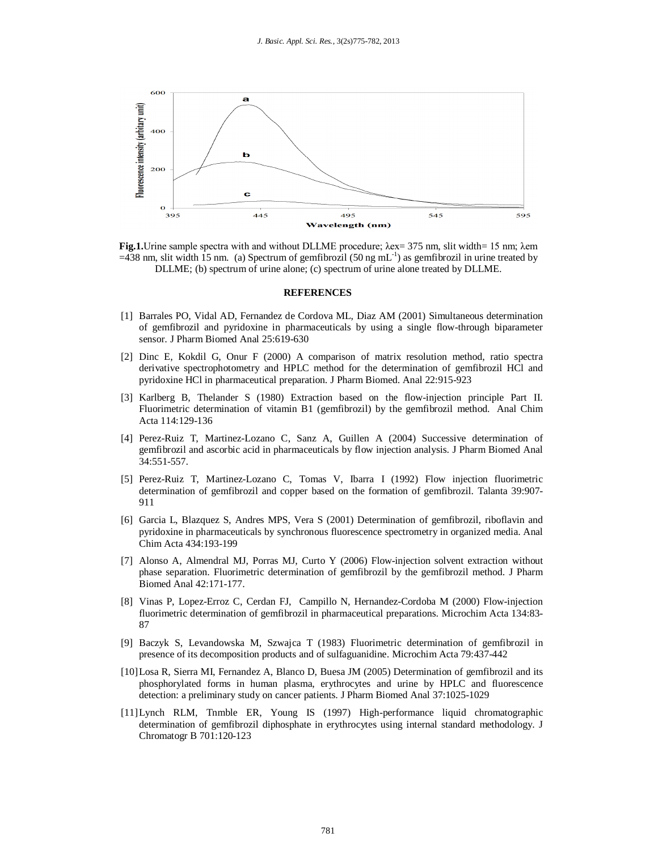

**Fig.1.**Urine sample spectra with and without DLLME procedure; λex= 375 nm, slit width= 15 nm; λem  $=438$  nm, slit width 15 nm. (a) Spectrum of gemfibrozil (50 ng mL<sup>-1</sup>) as gemfibrozil in urine treated by DLLME; (b) spectrum of urine alone; (c) spectrum of urine alone treated by DLLME.

#### **REFERENCES**

- [1] Barrales PO, Vidal AD, Fernandez de Cordova ML, Diaz AM (2001) Simultaneous determination of gemfibrozil and pyridoxine in pharmaceuticals by using a single flow-through biparameter sensor. J Pharm Biomed Anal 25:619-630
- [2] Dinc E, Kokdil G, Onur F (2000) A comparison of matrix resolution method, ratio spectra derivative spectrophotometry and HPLC method for the determination of gemfibrozil HCl and pyridoxine HCl in pharmaceutical preparation. J Pharm Biomed. Anal 22:915-923
- [3] Karlberg B, Thelander S (1980) Extraction based on the flow-injection principle Part II. Fluorimetric determination of vitamin B1 (gemfibrozil) by the gemfibrozil method. Anal Chim Acta 114:129-136
- [4] Perez-Ruiz T, Martinez-Lozano C, Sanz A, Guillen A (2004) Successive determination of gemfibrozil and ascorbic acid in pharmaceuticals by flow injection analysis. J Pharm Biomed Anal 34:551-557.
- [5] Perez-Ruiz T, Martinez-Lozano C, Tomas V, Ibarra I (1992) Flow injection fluorimetric determination of gemfibrozil and copper based on the formation of gemfibrozil. Talanta 39:907- 911
- [6] Garcia L, Blazquez S, Andres MPS, Vera S (2001) Determination of gemfibrozil, riboflavin and pyridoxine in pharmaceuticals by synchronous fluorescence spectrometry in organized media. Anal Chim Acta 434:193-199
- [7] Alonso A, Almendral MJ, Porras MJ, Curto Y (2006) Flow-injection solvent extraction without phase separation. Fluorimetric determination of gemfibrozil by the gemfibrozil method. J Pharm Biomed Anal 42:171-177.
- [8] Vinas P, Lopez-Erroz C, Cerdan FJ, Campillo N, Hernandez-Cordoba M (2000) Flow-injection fluorimetric determination of gemfibrozil in pharmaceutical preparations. Microchim Acta 134:83- 87
- [9] Baczyk S, Levandowska M, Szwajca T (1983) Fluorimetric determination of gemfibrozil in presence of its decomposition products and of sulfaguanidine. Microchim Acta 79:437-442
- [10]Losa R, Sierra MI, Fernandez A, Blanco D, Buesa JM (2005) Determination of gemfibrozil and its phosphorylated forms in human plasma, erythrocytes and urine by HPLC and fluorescence detection: a preliminary study on cancer patients. J Pharm Biomed Anal 37:1025-1029
- [11]Lynch RLM, Tnmble ER, Young IS (1997) High-performance liquid chromatographic determination of gemfibrozil diphosphate in erythrocytes using internal standard methodology. J Chromatogr B 701:120-123